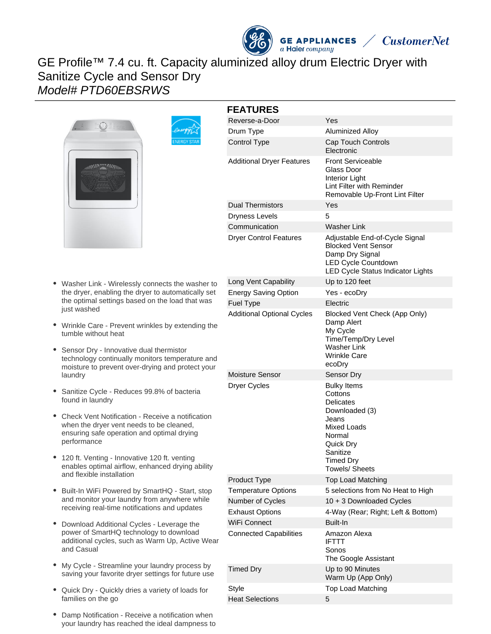# GE Profile™ 7.4 cu. ft. Capacity aluminized alloy drum Electric Dryer with Sanitize Cycle and Sensor Dry Model# PTD60EBSRWS





#### Washer Link - Wirelessly connects the washer to the dryer, enabling the dryer to automatically set the optimal settings based on the load that was just washed

- Wrinkle Care Prevent wrinkles by extending the tumble without heat
- Sensor Dry Innovative dual thermistor technology continually monitors temperature and moisture to prevent over-drying and protect your laundry
- Sanitize Cycle Reduces 99.8% of bacteria found in laundry
- Check Vent Notification Receive a notification when the dryer vent needs to be cleaned, ensuring safe operation and optimal drying performance
- 120 ft. Venting Innovative 120 ft. venting enables optimal airflow, enhanced drying ability and flexible installation
- Built-In WiFi Powered by SmartHQ Start, stop and monitor your laundry from anywhere while receiving real-time notifications and updates
- Download Additional Cycles Leverage the power of SmartHQ technology to download additional cycles, such as Warm Up, Active Wear and Casual
- My Cycle Streamline your laundry process by saving your favorite dryer settings for future use
- $\bullet$ Quick Dry - Quickly dries a variety of loads for families on the go
- $\bullet$ Damp Notification - Receive a notification when your laundry has reached the ideal dampness to

| <b>FEATURES</b>                   |                                                                                                                                                               |
|-----------------------------------|---------------------------------------------------------------------------------------------------------------------------------------------------------------|
| Reverse-a-Door                    | Yes                                                                                                                                                           |
| Drum Type                         | Aluminized Alloy                                                                                                                                              |
| Control Type                      | Cap Touch Controls<br>Electronic                                                                                                                              |
| <b>Additional Dryer Features</b>  | <b>Front Serviceable</b><br>Glass Door<br>Interior Light<br>Lint Filter with Reminder<br>Removable Up-Front Lint Filter                                       |
| <b>Dual Thermistors</b>           | Yes                                                                                                                                                           |
| <b>Dryness Levels</b>             | 5                                                                                                                                                             |
| Communication                     | <b>Washer Link</b>                                                                                                                                            |
| <b>Dryer Control Features</b>     | Adjustable End-of-Cycle Signal<br><b>Blocked Vent Sensor</b><br>Damp Dry Signal<br><b>LED Cycle Countdown</b><br>LED Cycle Status Indicator Lights            |
| Long Vent Capability              | Up to 120 feet                                                                                                                                                |
| <b>Energy Saving Option</b>       | Yes - ecoDry                                                                                                                                                  |
| Fuel Type                         | Electric                                                                                                                                                      |
| <b>Additional Optional Cycles</b> | Blocked Vent Check (App Only)<br>Damp Alert<br>My Cycle<br>Time/Temp/Dry Level<br><b>Washer Link</b><br>Wrinkle Care<br>ecoDry                                |
| <b>Moisture Sensor</b>            | Sensor Dry                                                                                                                                                    |
| Dryer Cycles                      | <b>Bulky Items</b><br>Cottons<br>Delicates<br>Downloaded (3)<br>Jeans<br>Mixed Loads<br>Normal<br>Quick Dry<br>Sanitize<br>Timed Dry<br><b>Towels/ Sheets</b> |
| Product Type                      | <b>Top Load Matching</b>                                                                                                                                      |
| <b>Temperature Options</b>        | 5 selections from No Heat to High                                                                                                                             |
| Number of Cycles                  | 10 + 3 Downloaded Cycles                                                                                                                                      |
| <b>Exhaust Options</b>            | 4-Way (Rear; Right; Left & Bottom)                                                                                                                            |
| <b>WiFi Connect</b>               | Built-In                                                                                                                                                      |
| <b>Connected Capabilities</b>     | Amazon Alexa<br><b>IFTTT</b><br>Sonos<br>The Google Assistant                                                                                                 |
| <b>Timed Dry</b>                  | Up to 90 Minutes<br>Warm Up (App Only)                                                                                                                        |
| Style                             | <b>Top Load Matching</b>                                                                                                                                      |

**GE APPLIANCES** 

a Haier company

**CustomerNet** 

Heat Selections 5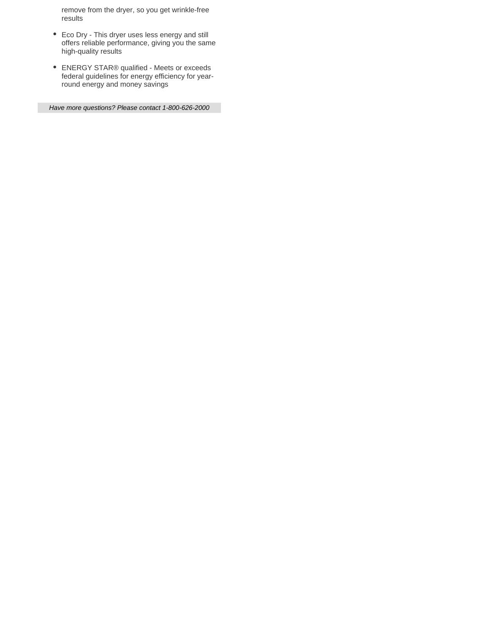remove from the dryer, so you get wrinkle-free results

- Eco Dry This dryer uses less energy and still offers reliable performance, giving you the same high-quality results
- ENERGY STAR® qualified Meets or exceeds federal guidelines for energy efficiency for yearround energy and money savings

Have more questions? Please contact 1-800-626-2000